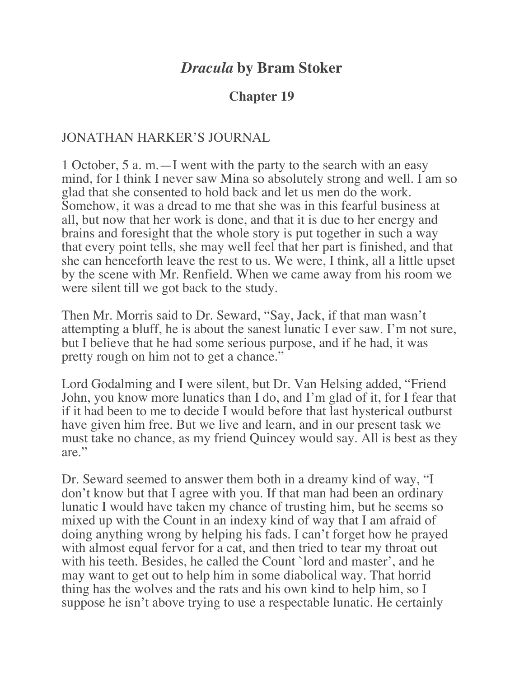# *Dracula* **by Bram Stoker**

### **Chapter 19**

#### JONATHAN HARKER'S JOURNAL

1 October, 5 a. m.—I went with the party to the search with an easy mind, for I think I never saw Mina so absolutely strong and well. I am so glad that she consented to hold back and let us men do the work. Somehow, it was a dread to me that she was in this fearful business at all, but now that her work is done, and that it is due to her energy and brains and foresight that the whole story is put together in such a way that every point tells, she may well feel that her part is finished, and that she can henceforth leave the rest to us. We were, I think, all a little upset by the scene with Mr. Renfield. When we came away from his room we were silent till we got back to the study.

Then Mr. Morris said to Dr. Seward, "Say, Jack, if that man wasn't attempting a bluff, he is about the sanest lunatic I ever saw. I'm not sure, but I believe that he had some serious purpose, and if he had, it was pretty rough on him not to get a chance."

Lord Godalming and I were silent, but Dr. Van Helsing added, "Friend John, you know more lunatics than I do, and I'm glad of it, for I fear that if it had been to me to decide I would before that last hysterical outburst have given him free. But we live and learn, and in our present task we must take no chance, as my friend Quincey would say. All is best as they are."

Dr. Seward seemed to answer them both in a dreamy kind of way, "I don't know but that I agree with you. If that man had been an ordinary lunatic I would have taken my chance of trusting him, but he seems so mixed up with the Count in an indexy kind of way that I am afraid of doing anything wrong by helping his fads. I can't forget how he prayed with almost equal fervor for a cat, and then tried to tear my throat out with his teeth. Besides, he called the Count `lord and master', and he may want to get out to help him in some diabolical way. That horrid thing has the wolves and the rats and his own kind to help him, so I suppose he isn't above trying to use a respectable lunatic. He certainly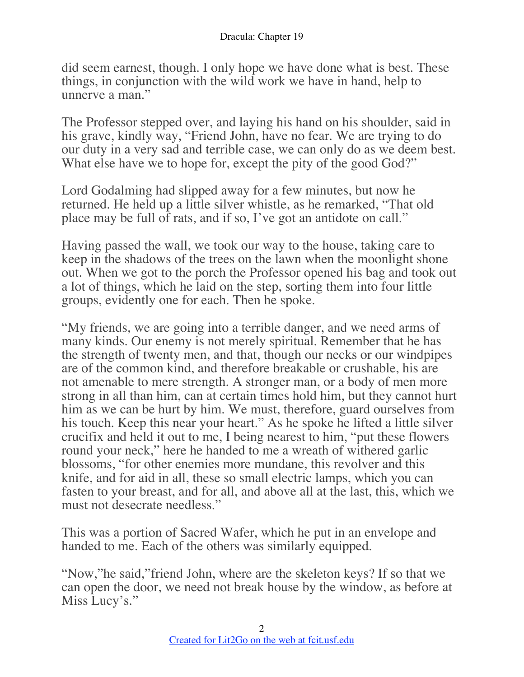did seem earnest, though. I only hope we have done what is best. These things, in conjunction with the wild work we have in hand, help to unnerve a man."

The Professor stepped over, and laying his hand on his shoulder, said in his grave, kindly way, "Friend John, have no fear. We are trying to do our duty in a very sad and terrible case, we can only do as we deem best. What else have we to hope for, except the pity of the good God?"

Lord Godalming had slipped away for a few minutes, but now he returned. He held up a little silver whistle, as he remarked, "That old place may be full of rats, and if so, I've got an antidote on call."

Having passed the wall, we took our way to the house, taking care to keep in the shadows of the trees on the lawn when the moonlight shone out. When we got to the porch the Professor opened his bag and took out a lot of things, which he laid on the step, sorting them into four little groups, evidently one for each. Then he spoke.

"My friends, we are going into a terrible danger, and we need arms of many kinds. Our enemy is not merely spiritual. Remember that he has the strength of twenty men, and that, though our necks or our windpipes are of the common kind, and therefore breakable or crushable, his are not amenable to mere strength. A stronger man, or a body of men more strong in all than him, can at certain times hold him, but they cannot hurt him as we can be hurt by him. We must, therefore, guard ourselves from his touch. Keep this near your heart." As he spoke he lifted a little silver crucifix and held it out to me, I being nearest to him, "put these flowers round your neck," here he handed to me a wreath of withered garlic blossoms, "for other enemies more mundane, this revolver and this knife, and for aid in all, these so small electric lamps, which you can fasten to your breast, and for all, and above all at the last, this, which we must not desecrate needless."

This was a portion of Sacred Wafer, which he put in an envelope and handed to me. Each of the others was similarly equipped.

"Now,"he said,"friend John, where are the skeleton keys? If so that we can open the door, we need not break house by the window, as before at Miss Lucy's."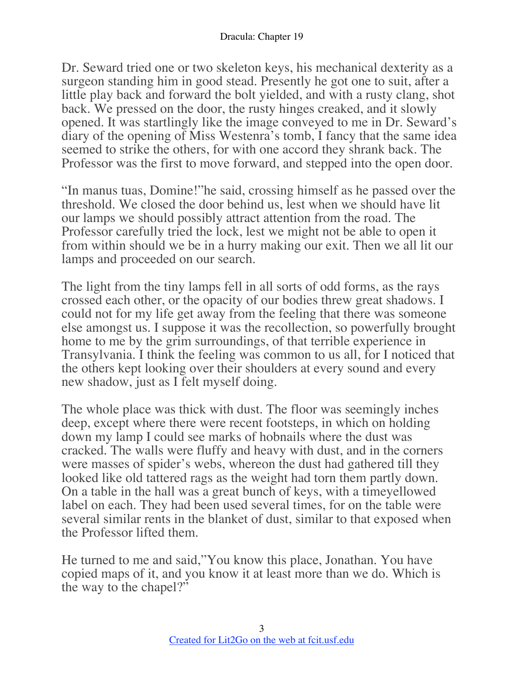Dr. Seward tried one or two skeleton keys, his mechanical dexterity as a surgeon standing him in good stead. Presently he got one to suit, after a little play back and forward the bolt yielded, and with a rusty clang, shot back. We pressed on the door, the rusty hinges creaked, and it slowly opened. It was startlingly like the image conveyed to me in Dr. Seward's diary of the opening of Miss Westenra's tomb, I fancy that the same idea seemed to strike the others, for with one accord they shrank back. The Professor was the first to move forward, and stepped into the open door.

"In manus tuas, Domine!"he said, crossing himself as he passed over the threshold. We closed the door behind us, lest when we should have lit our lamps we should possibly attract attention from the road. The Professor carefully tried the lock, lest we might not be able to open it from within should we be in a hurry making our exit. Then we all lit our lamps and proceeded on our search.

The light from the tiny lamps fell in all sorts of odd forms, as the rays crossed each other, or the opacity of our bodies threw great shadows. I could not for my life get away from the feeling that there was someone else amongst us. I suppose it was the recollection, so powerfully brought home to me by the grim surroundings, of that terrible experience in Transylvania. I think the feeling was common to us all, for I noticed that the others kept looking over their shoulders at every sound and every new shadow, just as I felt myself doing.

The whole place was thick with dust. The floor was seemingly inches deep, except where there were recent footsteps, in which on holding down my lamp I could see marks of hobnails where the dust was cracked. The walls were fluffy and heavy with dust, and in the corners were masses of spider's webs, whereon the dust had gathered till they looked like old tattered rags as the weight had torn them partly down. On a table in the hall was a great bunch of keys, with a timeyellowed label on each. They had been used several times, for on the table were several similar rents in the blanket of dust, similar to that exposed when the Professor lifted them.

He turned to me and said,"You know this place, Jonathan. You have copied maps of it, and you know it at least more than we do. Which is the way to the chapel?"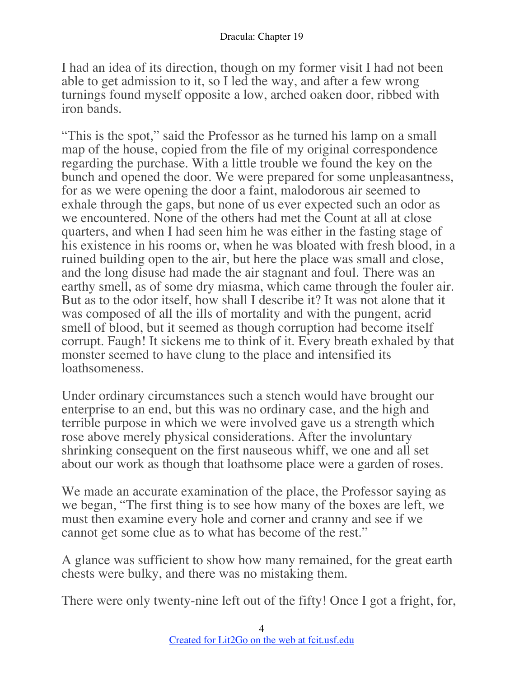I had an idea of its direction, though on my former visit I had not been able to get admission to it, so I led the way, and after a few wrong turnings found myself opposite a low, arched oaken door, ribbed with iron bands.

"This is the spot," said the Professor as he turned his lamp on a small map of the house, copied from the file of my original correspondence regarding the purchase. With a little trouble we found the key on the bunch and opened the door. We were prepared for some unpleasantness, for as we were opening the door a faint, malodorous air seemed to exhale through the gaps, but none of us ever expected such an odor as we encountered. None of the others had met the Count at all at close quarters, and when I had seen him he was either in the fasting stage of his existence in his rooms or, when he was bloated with fresh blood, in a ruined building open to the air, but here the place was small and close, and the long disuse had made the air stagnant and foul. There was an earthy smell, as of some dry miasma, which came through the fouler air. But as to the odor itself, how shall I describe it? It was not alone that it was composed of all the ills of mortality and with the pungent, acrid smell of blood, but it seemed as though corruption had become itself corrupt. Faugh! It sickens me to think of it. Every breath exhaled by that monster seemed to have clung to the place and intensified its loathsomeness.

Under ordinary circumstances such a stench would have brought our enterprise to an end, but this was no ordinary case, and the high and terrible purpose in which we were involved gave us a strength which rose above merely physical considerations. After the involuntary shrinking consequent on the first nauseous whiff, we one and all set about our work as though that loathsome place were a garden of roses.

We made an accurate examination of the place, the Professor saying as we began, "The first thing is to see how many of the boxes are left, we must then examine every hole and corner and cranny and see if we cannot get some clue as to what has become of the rest."

A glance was sufficient to show how many remained, for the great earth chests were bulky, and there was no mistaking them.

There were only twenty-nine left out of the fifty! Once I got a fright, for,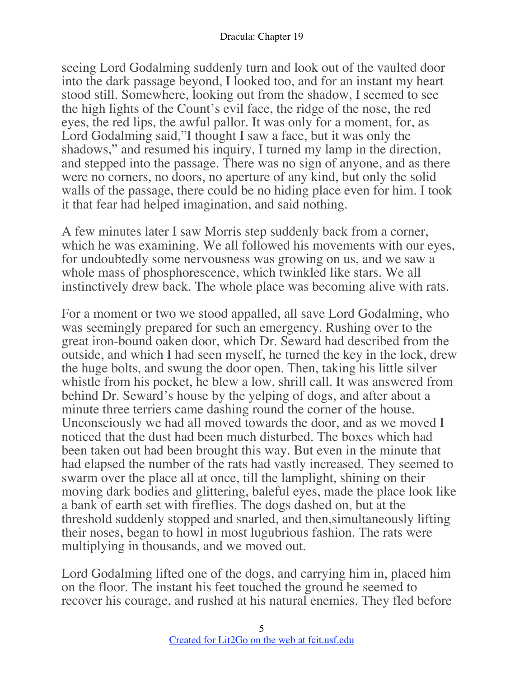seeing Lord Godalming suddenly turn and look out of the vaulted door into the dark passage beyond, I looked too, and for an instant my heart stood still. Somewhere, looking out from the shadow, I seemed to see the high lights of the Count's evil face, the ridge of the nose, the red eyes, the red lips, the awful pallor. It was only for a moment, for, as Lord Godalming said,"I thought I saw a face, but it was only the shadows," and resumed his inquiry, I turned my lamp in the direction, and stepped into the passage. There was no sign of anyone, and as there were no corners, no doors, no aperture of any kind, but only the solid walls of the passage, there could be no hiding place even for him. I took it that fear had helped imagination, and said nothing.

A few minutes later I saw Morris step suddenly back from a corner, which he was examining. We all followed his movements with our eyes, for undoubtedly some nervousness was growing on us, and we saw a whole mass of phosphorescence, which twinkled like stars. We all instinctively drew back. The whole place was becoming alive with rats.

For a moment or two we stood appalled, all save Lord Godalming, who was seemingly prepared for such an emergency. Rushing over to the great iron-bound oaken door, which Dr. Seward had described from the outside, and which I had seen myself, he turned the key in the lock, drew the huge bolts, and swung the door open. Then, taking his little silver whistle from his pocket, he blew a low, shrill call. It was answered from behind Dr. Seward's house by the yelping of dogs, and after about a minute three terriers came dashing round the corner of the house. Unconsciously we had all moved towards the door, and as we moved I noticed that the dust had been much disturbed. The boxes which had been taken out had been brought this way. But even in the minute that had elapsed the number of the rats had vastly increased. They seemed to swarm over the place all at once, till the lamplight, shining on their moving dark bodies and glittering, baleful eyes, made the place look like a bank of earth set with fireflies. The dogs dashed on, but at the threshold suddenly stopped and snarled, and then,simultaneously lifting their noses, began to howl in most lugubrious fashion. The rats were multiplying in thousands, and we moved out.

Lord Godalming lifted one of the dogs, and carrying him in, placed him on the floor. The instant his feet touched the ground he seemed to recover his courage, and rushed at his natural enemies. They fled before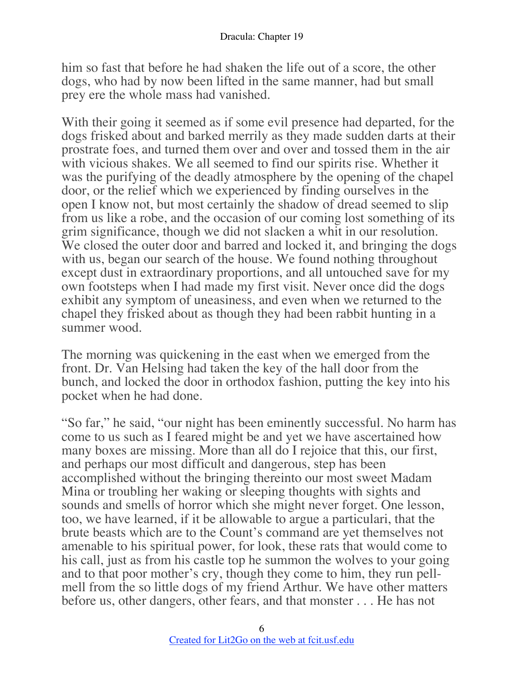him so fast that before he had shaken the life out of a score, the other dogs, who had by now been lifted in the same manner, had but small prey ere the whole mass had vanished.

With their going it seemed as if some evil presence had departed, for the dogs frisked about and barked merrily as they made sudden darts at their prostrate foes, and turned them over and over and tossed them in the air with vicious shakes. We all seemed to find our spirits rise. Whether it was the purifying of the deadly atmosphere by the opening of the chapel door, or the relief which we experienced by finding ourselves in the open I know not, but most certainly the shadow of dread seemed to slip from us like a robe, and the occasion of our coming lost something of its grim significance, though we did not slacken a whit in our resolution. We closed the outer door and barred and locked it, and bringing the dogs with us, began our search of the house. We found nothing throughout except dust in extraordinary proportions, and all untouched save for my own footsteps when I had made my first visit. Never once did the dogs exhibit any symptom of uneasiness, and even when we returned to the chapel they frisked about as though they had been rabbit hunting in a summer wood.

The morning was quickening in the east when we emerged from the front. Dr. Van Helsing had taken the key of the hall door from the bunch, and locked the door in orthodox fashion, putting the key into his pocket when he had done.

"So far," he said, "our night has been eminently successful. No harm has come to us such as I feared might be and yet we have ascertained how many boxes are missing. More than all do I rejoice that this, our first, and perhaps our most difficult and dangerous, step has been accomplished without the bringing thereinto our most sweet Madam Mina or troubling her waking or sleeping thoughts with sights and sounds and smells of horror which she might never forget. One lesson, too, we have learned, if it be allowable to argue a particulari, that the brute beasts which are to the Count's command are yet themselves not amenable to his spiritual power, for look, these rats that would come to his call, just as from his castle top he summon the wolves to your going and to that poor mother's cry, though they come to him, they run pellmell from the so little dogs of my friend Arthur. We have other matters before us, other dangers, other fears, and that monster . . . He has not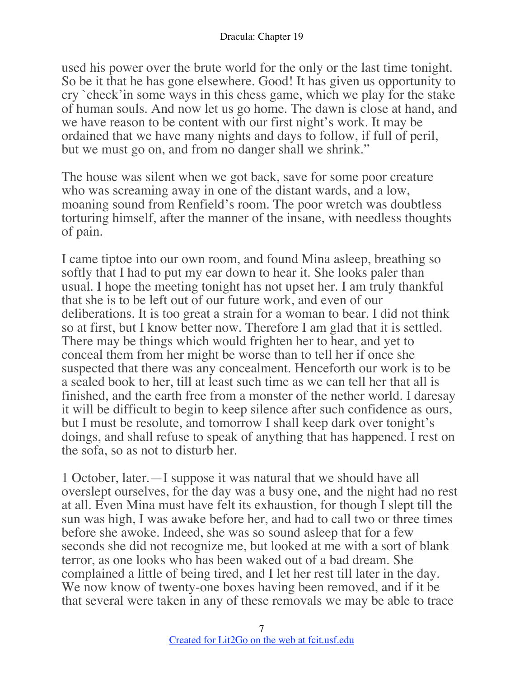used his power over the brute world for the only or the last time tonight. So be it that he has gone elsewhere. Good! It has given us opportunity to cry `check'in some ways in this chess game, which we play for the stake of human souls. And now let us go home. The dawn is close at hand, and we have reason to be content with our first night's work. It may be ordained that we have many nights and days to follow, if full of peril, but we must go on, and from no danger shall we shrink."

The house was silent when we got back, save for some poor creature who was screaming away in one of the distant wards, and a low, moaning sound from Renfield's room. The poor wretch was doubtless torturing himself, after the manner of the insane, with needless thoughts of pain.

I came tiptoe into our own room, and found Mina asleep, breathing so softly that I had to put my ear down to hear it. She looks paler than usual. I hope the meeting tonight has not upset her. I am truly thankful that she is to be left out of our future work, and even of our deliberations. It is too great a strain for a woman to bear. I did not think so at first, but I know better now. Therefore I am glad that it is settled. There may be things which would frighten her to hear, and yet to conceal them from her might be worse than to tell her if once she suspected that there was any concealment. Henceforth our work is to be a sealed book to her, till at least such time as we can tell her that all is finished, and the earth free from a monster of the nether world. I daresay it will be difficult to begin to keep silence after such confidence as ours, but I must be resolute, and tomorrow I shall keep dark over tonight's doings, and shall refuse to speak of anything that has happened. I rest on the sofa, so as not to disturb her.

1 October, later.—I suppose it was natural that we should have all overslept ourselves, for the day was a busy one, and the night had no rest at all. Even Mina must have felt its exhaustion, for though I slept till the sun was high, I was awake before her, and had to call two or three times before she awoke. Indeed, she was so sound asleep that for a few seconds she did not recognize me, but looked at me with a sort of blank terror, as one looks who has been waked out of a bad dream. She complained a little of being tired, and I let her rest till later in the day. We now know of twenty-one boxes having been removed, and if it be that several were taken in any of these removals we may be able to trace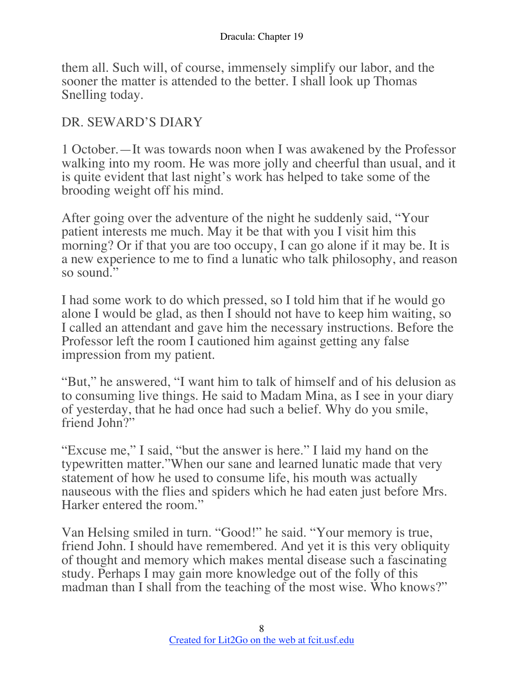them all. Such will, of course, immensely simplify our labor, and the sooner the matter is attended to the better. I shall look up Thomas Snelling today.

## DR. SEWARD'S DIARY

1 October.—It was towards noon when I was awakened by the Professor walking into my room. He was more jolly and cheerful than usual, and it is quite evident that last night's work has helped to take some of the brooding weight off his mind.

After going over the adventure of the night he suddenly said, "Your patient interests me much. May it be that with you I visit him this morning? Or if that you are too occupy, I can go alone if it may be. It is a new experience to me to find a lunatic who talk philosophy, and reason so sound."

I had some work to do which pressed, so I told him that if he would go alone I would be glad, as then I should not have to keep him waiting, so I called an attendant and gave him the necessary instructions. Before the Professor left the room I cautioned him against getting any false impression from my patient.

"But," he answered, "I want him to talk of himself and of his delusion as to consuming live things. He said to Madam Mina, as I see in your diary of yesterday, that he had once had such a belief. Why do you smile, friend John?"

"Excuse me," I said, "but the answer is here." I laid my hand on the typewritten matter."When our sane and learned lunatic made that very statement of how he used to consume life, his mouth was actually nauseous with the flies and spiders which he had eaten just before Mrs. Harker entered the room."

Van Helsing smiled in turn. "Good!" he said. "Your memory is true, friend John. I should have remembered. And yet it is this very obliquity of thought and memory which makes mental disease such a fascinating study. Perhaps I may gain more knowledge out of the folly of this madman than I shall from the teaching of the most wise. Who knows?"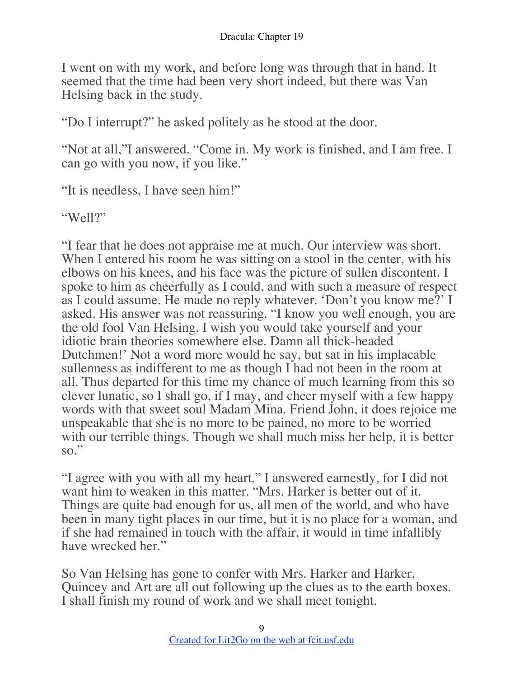I went on with my work, and before long was through that in hand. It seemed that the time had been very short indeed, but there was Van Helsing back in the study.

"Do I interrupt?" he asked politely as he stood at the door.

"Not at all,"I answered. "Come in. My work is finished, and I am free. I can go with you now, if you like."

"It is needless, I have seen him!"

"Well?"

"I fear that he does not appraise me at much. Our interview was short. When I entered his room he was sitting on a stool in the center, with his elbows on his knees, and his face was the picture of sullen discontent. I spoke to him as cheerfully as I could, and with such a measure of respect as I could assume. He made no reply whatever. 'Don't you know me?' I asked. His answer was not reassuring. "I know you well enough, you are the old fool Van Helsing. I wish you would take yourself and your idiotic brain theories somewhere else. Damn all thick-headed Dutchmen!' Not a word more would he say, but sat in his implacable sullenness as indifferent to me as though I had not been in the room at all. Thus departed for this time my chance of much learning from this so clever lunatic, so I shall go, if I may, and cheer myself with a few happy words with that sweet soul Madam Mina. Friend John, it does rejoice me unspeakable that she is no more to be pained, no more to be worried with our terrible things. Though we shall much miss her help, it is better so."

"I agree with you with all my heart," I answered earnestly, for I did not want him to weaken in this matter. "Mrs. Harker is better out of it. Things are quite bad enough for us, all men of the world, and who have been in many tight places in our time, but it is no place for a woman, and if she had remained in touch with the affair, it would in time infallibly have wrecked her."

So Van Helsing has gone to confer with Mrs. Harker and Harker, Quincey and Art are all out following up the clues as to the earth boxes. I shall finish my round of work and we shall meet tonight.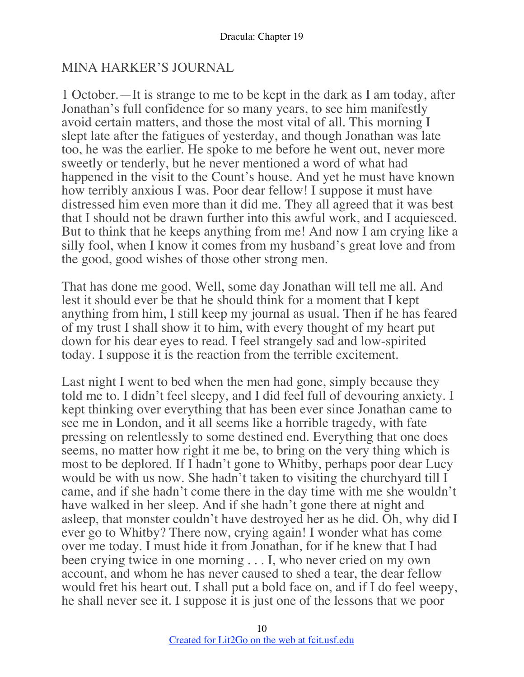## MINA HARKER'S JOURNAL

1 October.—It is strange to me to be kept in the dark as I am today, after Jonathan's full confidence for so many years, to see him manifestly avoid certain matters, and those the most vital of all. This morning I slept late after the fatigues of yesterday, and though Jonathan was late too, he was the earlier. He spoke to me before he went out, never more sweetly or tenderly, but he never mentioned a word of what had happened in the visit to the Count's house. And yet he must have known how terribly anxious I was. Poor dear fellow! I suppose it must have distressed him even more than it did me. They all agreed that it was best that I should not be drawn further into this awful work, and I acquiesced. But to think that he keeps anything from me! And now I am crying like a silly fool, when I know it comes from my husband's great love and from the good, good wishes of those other strong men.

That has done me good. Well, some day Jonathan will tell me all. And lest it should ever be that he should think for a moment that I kept anything from him, I still keep my journal as usual. Then if he has feared of my trust I shall show it to him, with every thought of my heart put down for his dear eyes to read. I feel strangely sad and low-spirited today. I suppose it is the reaction from the terrible excitement.

Last night I went to bed when the men had gone, simply because they told me to. I didn't feel sleepy, and I did feel full of devouring anxiety. I kept thinking over everything that has been ever since Jonathan came to see me in London, and it all seems like a horrible tragedy, with fate pressing on relentlessly to some destined end. Everything that one does seems, no matter how right it me be, to bring on the very thing which is most to be deplored. If I hadn't gone to Whitby, perhaps poor dear Lucy would be with us now. She hadn't taken to visiting the churchyard till I came, and if she hadn't come there in the day time with me she wouldn't have walked in her sleep. And if she hadn't gone there at night and asleep, that monster couldn't have destroyed her as he did. Oh, why did I ever go to Whitby? There now, crying again! I wonder what has come over me today. I must hide it from Jonathan, for if he knew that I had been crying twice in one morning . . . I, who never cried on my own account, and whom he has never caused to shed a tear, the dear fellow would fret his heart out. I shall put a bold face on, and if I do feel weepy, he shall never see it. I suppose it is just one of the lessons that we poor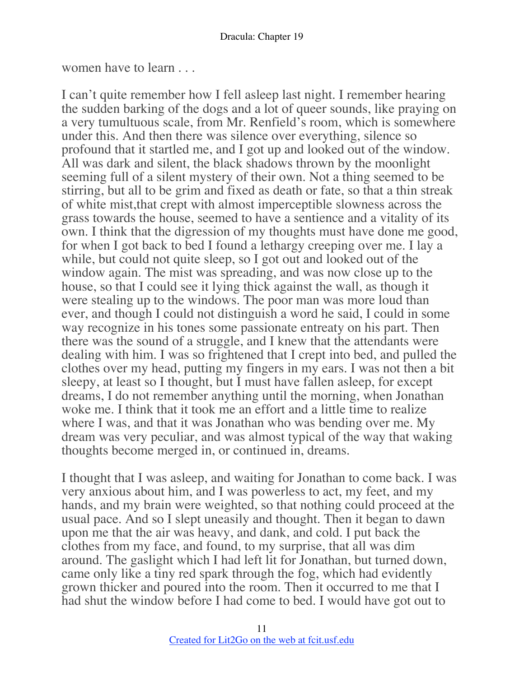women have to learn . . .

I can't quite remember how I fell asleep last night. I remember hearing the sudden barking of the dogs and a lot of queer sounds, like praying on a very tumultuous scale, from Mr. Renfield's room, which is somewhere under this. And then there was silence over everything, silence so profound that it startled me, and I got up and looked out of the window. All was dark and silent, the black shadows thrown by the moonlight seeming full of a silent mystery of their own. Not a thing seemed to be stirring, but all to be grim and fixed as death or fate, so that a thin streak of white mist,that crept with almost imperceptible slowness across the grass towards the house, seemed to have a sentience and a vitality of its own. I think that the digression of my thoughts must have done me good, for when I got back to bed I found a lethargy creeping over me. I lay a while, but could not quite sleep, so I got out and looked out of the window again. The mist was spreading, and was now close up to the house, so that I could see it lying thick against the wall, as though it were stealing up to the windows. The poor man was more loud than ever, and though I could not distinguish a word he said, I could in some way recognize in his tones some passionate entreaty on his part. Then there was the sound of a struggle, and I knew that the attendants were dealing with him. I was so frightened that I crept into bed, and pulled the clothes over my head, putting my fingers in my ears. I was not then a bit sleepy, at least so I thought, but I must have fallen asleep, for except dreams, I do not remember anything until the morning, when Jonathan woke me. I think that it took me an effort and a little time to realize where I was, and that it was Jonathan who was bending over me. My dream was very peculiar, and was almost typical of the way that waking thoughts become merged in, or continued in, dreams.

I thought that I was asleep, and waiting for Jonathan to come back. I was very anxious about him, and I was powerless to act, my feet, and my hands, and my brain were weighted, so that nothing could proceed at the usual pace. And so I slept uneasily and thought. Then it began to dawn upon me that the air was heavy, and dank, and cold. I put back the clothes from my face, and found, to my surprise, that all was dim around. The gaslight which I had left lit for Jonathan, but turned down, came only like a tiny red spark through the fog, which had evidently grown thicker and poured into the room. Then it occurred to me that I had shut the window before I had come to bed. I would have got out to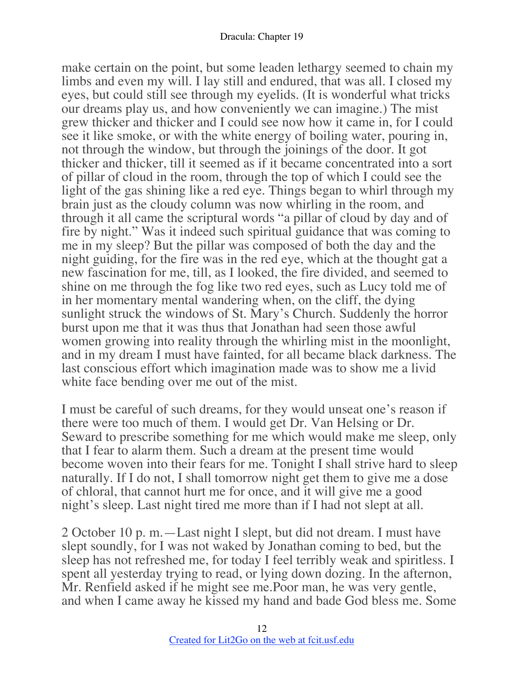make certain on the point, but some leaden lethargy seemed to chain my limbs and even my will. I lay still and endured, that was all. I closed my eyes, but could still see through my eyelids. (It is wonderful what tricks our dreams play us, and how conveniently we can imagine.) The mist grew thicker and thicker and I could see now how it came in, for I could see it like smoke, or with the white energy of boiling water, pouring in, not through the window, but through the joinings of the door. It got thicker and thicker, till it seemed as if it became concentrated into a sort of pillar of cloud in the room, through the top of which I could see the light of the gas shining like a red eye. Things began to whirl through my brain just as the cloudy column was now whirling in the room, and through it all came the scriptural words "a pillar of cloud by day and of fire by night." Was it indeed such spiritual guidance that was coming to me in my sleep? But the pillar was composed of both the day and the night guiding, for the fire was in the red eye, which at the thought gat a new fascination for me, till, as I looked, the fire divided, and seemed to shine on me through the fog like two red eyes, such as Lucy told me of in her momentary mental wandering when, on the cliff, the dying sunlight struck the windows of St. Mary's Church. Suddenly the horror burst upon me that it was thus that Jonathan had seen those awful women growing into reality through the whirling mist in the moonlight, and in my dream I must have fainted, for all became black darkness. The last conscious effort which imagination made was to show me a livid white face bending over me out of the mist.

I must be careful of such dreams, for they would unseat one's reason if there were too much of them. I would get Dr. Van Helsing or Dr. Seward to prescribe something for me which would make me sleep, only that I fear to alarm them. Such a dream at the present time would become woven into their fears for me. Tonight I shall strive hard to sleep naturally. If I do not, I shall tomorrow night get them to give me a dose of chloral, that cannot hurt me for once, and it will give me a good night's sleep. Last night tired me more than if I had not slept at all.

2 October 10 p. m.—Last night I slept, but did not dream. I must have slept soundly, for I was not waked by Jonathan coming to bed, but the sleep has not refreshed me, for today I feel terribly weak and spiritless. I spent all yesterday trying to read, or lying down dozing. In the afternon, Mr. Renfield asked if he might see me.Poor man, he was very gentle, and when I came away he kissed my hand and bade God bless me. Some